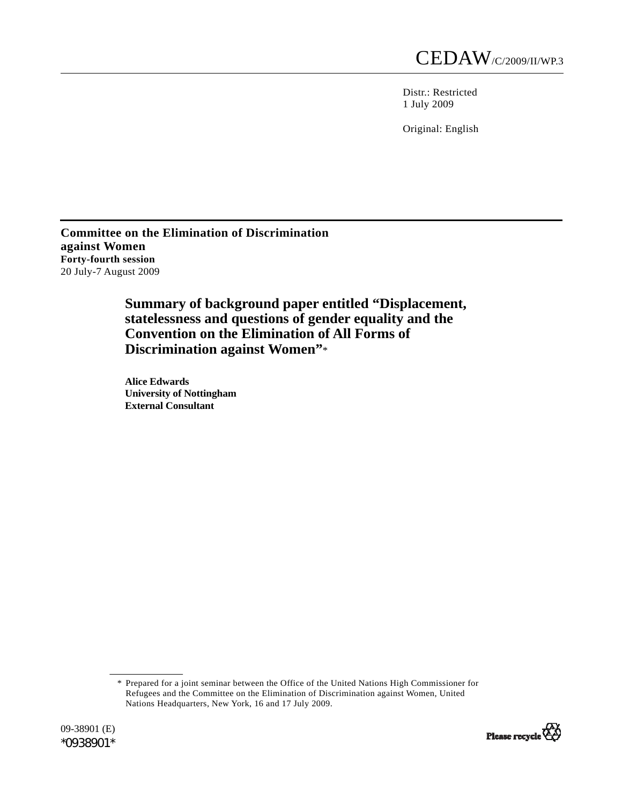Distr.: Restricted 1 July 2009

Original: English

**Committee on the Elimination of Discrimination against Women Forty-fourth session**  20 July-7 August 2009

> **Summary of background paper entitled "Displacement, statelessness and questions of gender equality and the Convention on the Elimination of All Forms of Discrimination against Women"**\*

 **Alice Edwards University of Nottingham External Consultant**

 \* Prepared for a joint seminar between the Office of the United Nations High Commissioner for Refugees and the Committee on the Elimination of Discrimination against Women, United Nations Headquarters, New York, 16 and 17 July 2009.

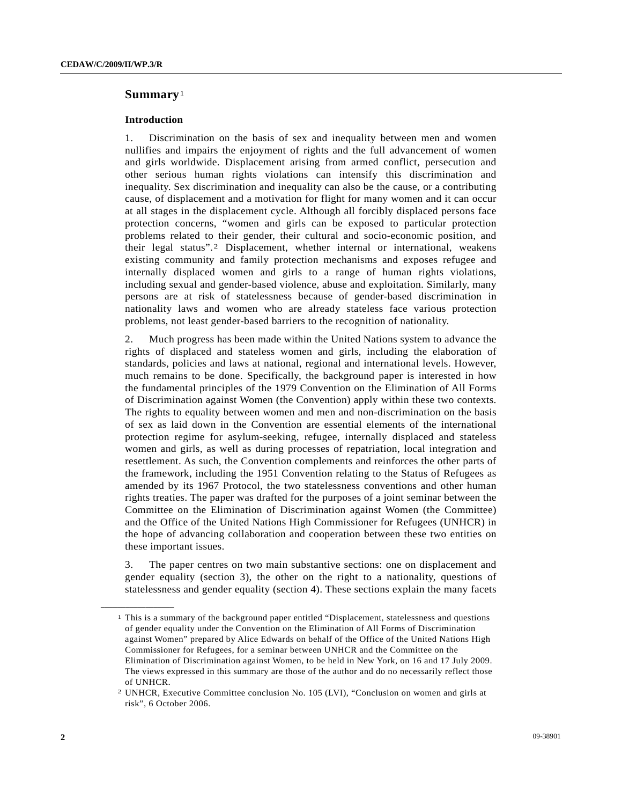# **Summary**<sup>1</sup>

## **Introduction**

1. Discrimination on the basis of sex and inequality between men and women nullifies and impairs the enjoyment of rights and the full advancement of women and girls worldwide. Displacement arising from armed conflict, persecution and other serious human rights violations can intensify this discrimination and inequality. Sex discrimination and inequality can also be the cause, or a contributing cause, of displacement and a motivation for flight for many women and it can occur at all stages in the displacement cycle. Although all forcibly displaced persons face protection concerns, "women and girls can be exposed to particular protection problems related to their gender, their cultural and socio-economic position, and their legal status".<sup>2</sup> Displacement, whether internal or international, weakens existing community and family protection mechanisms and exposes refugee and internally displaced women and girls to a range of human rights violations, including sexual and gender-based violence, abuse and exploitation. Similarly, many persons are at risk of statelessness because of gender-based discrimination in nationality laws and women who are already stateless face various protection problems, not least gender-based barriers to the recognition of nationality.

2. Much progress has been made within the United Nations system to advance the rights of displaced and stateless women and girls, including the elaboration of standards, policies and laws at national, regional and international levels. However, much remains to be done. Specifically, the background paper is interested in how the fundamental principles of the 1979 Convention on the Elimination of All Forms of Discrimination against Women (the Convention) apply within these two contexts. The rights to equality between women and men and non-discrimination on the basis of sex as laid down in the Convention are essential elements of the international protection regime for asylum-seeking, refugee, internally displaced and stateless women and girls, as well as during processes of repatriation, local integration and resettlement. As such, the Convention complements and reinforces the other parts of the framework, including the 1951 Convention relating to the Status of Refugees as amended by its 1967 Protocol, the two statelessness conventions and other human rights treaties. The paper was drafted for the purposes of a joint seminar between the Committee on the Elimination of Discrimination against Women (the Committee) and the Office of the United Nations High Commissioner for Refugees (UNHCR) in the hope of advancing collaboration and cooperation between these two entities on these important issues.

3. The paper centres on two main substantive sections: one on displacement and gender equality (section 3), the other on the right to a nationality, questions of statelessness and gender equality (section 4). These sections explain the many facets

 $<sup>1</sup>$  This is a summary of the background paper entitled "Displacement, statelessness and questions</sup> of gender equality under the Convention on the Elimination of All Forms of Discrimination against Women" prepared by Alice Edwards on behalf of the Office of the United Nations High Commissioner for Refugees, for a seminar between UNHCR and the Committee on the Elimination of Discrimination against Women, to be held in New York, on 16 and 17 July 2009. The views expressed in this summary are those of the author and do no necessarily reflect those of UNHCR.

<sup>2</sup> UNHCR, Executive Committee conclusion No. 105 (LVI), "Conclusion on women and girls at risk", 6 October 2006.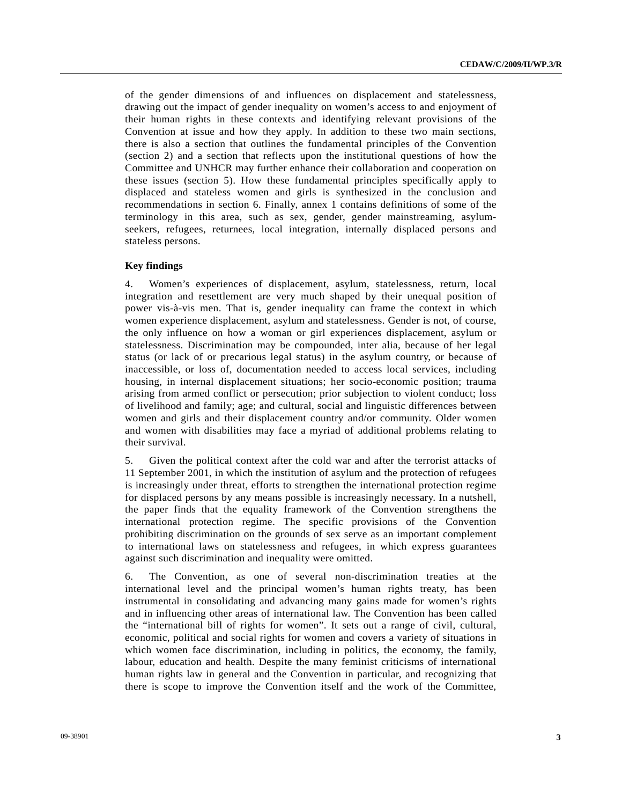of the gender dimensions of and influences on displacement and statelessness, drawing out the impact of gender inequality on women's access to and enjoyment of their human rights in these contexts and identifying relevant provisions of the Convention at issue and how they apply. In addition to these two main sections, there is also a section that outlines the fundamental principles of the Convention (section 2) and a section that reflects upon the institutional questions of how the Committee and UNHCR may further enhance their collaboration and cooperation on these issues (section 5). How these fundamental principles specifically apply to displaced and stateless women and girls is synthesized in the conclusion and recommendations in section 6. Finally, annex 1 contains definitions of some of the terminology in this area, such as sex, gender, gender mainstreaming, asylumseekers, refugees, returnees, local integration, internally displaced persons and stateless persons.

### **Key findings**

4. Women's experiences of displacement, asylum, statelessness, return, local integration and resettlement are very much shaped by their unequal position of power vis-à-vis men. That is, gender inequality can frame the context in which women experience displacement, asylum and statelessness. Gender is not, of course, the only influence on how a woman or girl experiences displacement, asylum or statelessness. Discrimination may be compounded, inter alia, because of her legal status (or lack of or precarious legal status) in the asylum country, or because of inaccessible, or loss of, documentation needed to access local services, including housing, in internal displacement situations; her socio-economic position; trauma arising from armed conflict or persecution; prior subjection to violent conduct; loss of livelihood and family; age; and cultural, social and linguistic differences between women and girls and their displacement country and/or community. Older women and women with disabilities may face a myriad of additional problems relating to their survival.

5. Given the political context after the cold war and after the terrorist attacks of 11 September 2001, in which the institution of asylum and the protection of refugees is increasingly under threat, efforts to strengthen the international protection regime for displaced persons by any means possible is increasingly necessary. In a nutshell, the paper finds that the equality framework of the Convention strengthens the international protection regime. The specific provisions of the Convention prohibiting discrimination on the grounds of sex serve as an important complement to international laws on statelessness and refugees, in which express guarantees against such discrimination and inequality were omitted.

6. The Convention, as one of several non-discrimination treaties at the international level and the principal women's human rights treaty, has been instrumental in consolidating and advancing many gains made for women's rights and in influencing other areas of international law. The Convention has been called the "international bill of rights for women". It sets out a range of civil, cultural, economic, political and social rights for women and covers a variety of situations in which women face discrimination, including in politics, the economy, the family, labour, education and health. Despite the many feminist criticisms of international human rights law in general and the Convention in particular, and recognizing that there is scope to improve the Convention itself and the work of the Committee,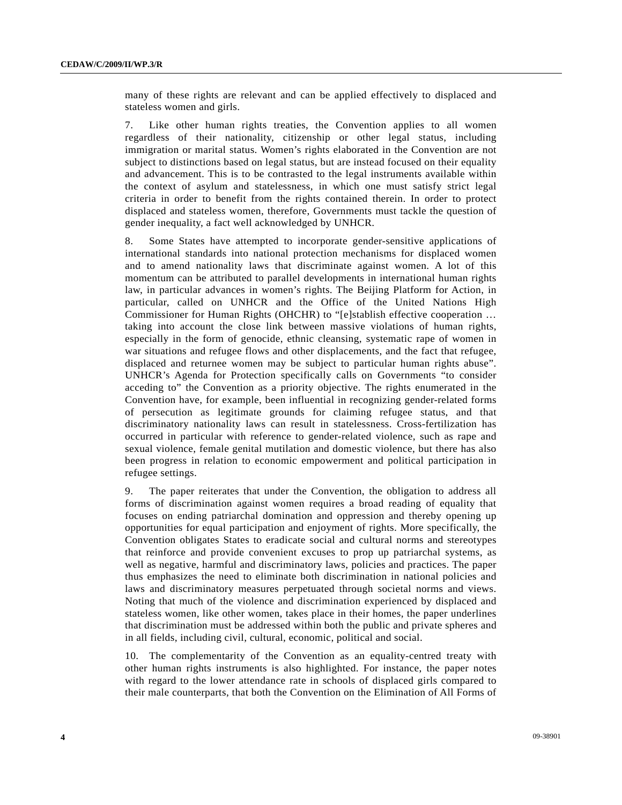many of these rights are relevant and can be applied effectively to displaced and stateless women and girls.

7. Like other human rights treaties, the Convention applies to all women regardless of their nationality, citizenship or other legal status, including immigration or marital status. Women's rights elaborated in the Convention are not subject to distinctions based on legal status, but are instead focused on their equality and advancement. This is to be contrasted to the legal instruments available within the context of asylum and statelessness, in which one must satisfy strict legal criteria in order to benefit from the rights contained therein. In order to protect displaced and stateless women, therefore, Governments must tackle the question of gender inequality, a fact well acknowledged by UNHCR.

8. Some States have attempted to incorporate gender-sensitive applications of international standards into national protection mechanisms for displaced women and to amend nationality laws that discriminate against women. A lot of this momentum can be attributed to parallel developments in international human rights law, in particular advances in women's rights. The Beijing Platform for Action, in particular, called on UNHCR and the Office of the United Nations High Commissioner for Human Rights (OHCHR) to "[e]stablish effective cooperation … taking into account the close link between massive violations of human rights, especially in the form of genocide, ethnic cleansing, systematic rape of women in war situations and refugee flows and other displacements, and the fact that refugee, displaced and returnee women may be subject to particular human rights abuse". UNHCR's Agenda for Protection specifically calls on Governments "to consider acceding to" the Convention as a priority objective. The rights enumerated in the Convention have, for example, been influential in recognizing gender-related forms of persecution as legitimate grounds for claiming refugee status, and that discriminatory nationality laws can result in statelessness. Cross-fertilization has occurred in particular with reference to gender-related violence, such as rape and sexual violence, female genital mutilation and domestic violence, but there has also been progress in relation to economic empowerment and political participation in refugee settings.

9. The paper reiterates that under the Convention, the obligation to address all forms of discrimination against women requires a broad reading of equality that focuses on ending patriarchal domination and oppression and thereby opening up opportunities for equal participation and enjoyment of rights. More specifically, the Convention obligates States to eradicate social and cultural norms and stereotypes that reinforce and provide convenient excuses to prop up patriarchal systems, as well as negative, harmful and discriminatory laws, policies and practices. The paper thus emphasizes the need to eliminate both discrimination in national policies and laws and discriminatory measures perpetuated through societal norms and views. Noting that much of the violence and discrimination experienced by displaced and stateless women, like other women, takes place in their homes, the paper underlines that discrimination must be addressed within both the public and private spheres and in all fields, including civil, cultural, economic, political and social.

10. The complementarity of the Convention as an equality-centred treaty with other human rights instruments is also highlighted. For instance, the paper notes with regard to the lower attendance rate in schools of displaced girls compared to their male counterparts, that both the Convention on the Elimination of All Forms of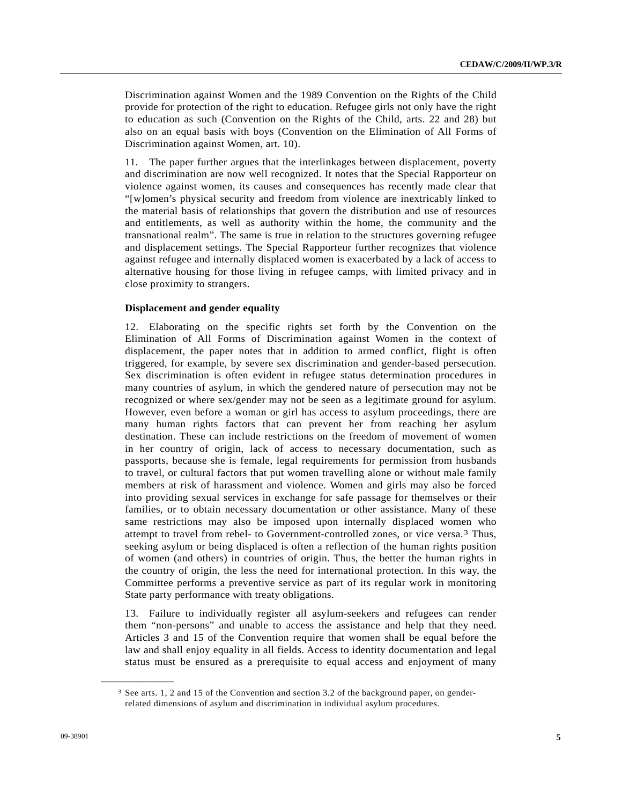Discrimination against Women and the 1989 Convention on the Rights of the Child provide for protection of the right to education. Refugee girls not only have the right to education as such (Convention on the Rights of the Child, arts. 22 and 28) but also on an equal basis with boys (Convention on the Elimination of All Forms of Discrimination against Women, art. 10).

11. The paper further argues that the interlinkages between displacement, poverty and discrimination are now well recognized. It notes that the Special Rapporteur on violence against women, its causes and consequences has recently made clear that "[w]omen's physical security and freedom from violence are inextricably linked to the material basis of relationships that govern the distribution and use of resources and entitlements, as well as authority within the home, the community and the transnational realm". The same is true in relation to the structures governing refugee and displacement settings. The Special Rapporteur further recognizes that violence against refugee and internally displaced women is exacerbated by a lack of access to alternative housing for those living in refugee camps, with limited privacy and in close proximity to strangers.

## **Displacement and gender equality**

12. Elaborating on the specific rights set forth by the Convention on the Elimination of All Forms of Discrimination against Women in the context of displacement, the paper notes that in addition to armed conflict, flight is often triggered, for example, by severe sex discrimination and gender-based persecution. Sex discrimination is often evident in refugee status determination procedures in many countries of asylum, in which the gendered nature of persecution may not be recognized or where sex/gender may not be seen as a legitimate ground for asylum. However, even before a woman or girl has access to asylum proceedings, there are many human rights factors that can prevent her from reaching her asylum destination. These can include restrictions on the freedom of movement of women in her country of origin, lack of access to necessary documentation, such as passports, because she is female, legal requirements for permission from husbands to travel, or cultural factors that put women travelling alone or without male family members at risk of harassment and violence. Women and girls may also be forced into providing sexual services in exchange for safe passage for themselves or their families, or to obtain necessary documentation or other assistance. Many of these same restrictions may also be imposed upon internally displaced women who attempt to travel from rebel- to Government-controlled zones, or vice versa.<sup>3</sup> Thus, seeking asylum or being displaced is often a reflection of the human rights position of women (and others) in countries of origin. Thus, the better the human rights in the country of origin, the less the need for international protection. In this way, the Committee performs a preventive service as part of its regular work in monitoring State party performance with treaty obligations.

13. Failure to individually register all asylum-seekers and refugees can render them "non-persons" and unable to access the assistance and help that they need. Articles 3 and 15 of the Convention require that women shall be equal before the law and shall enjoy equality in all fields. Access to identity documentation and legal status must be ensured as a prerequisite to equal access and enjoyment of many

<sup>3</sup> See arts. 1, 2 and 15 of the Convention and section 3.2 of the background paper, on genderrelated dimensions of asylum and discrimination in individual asylum procedures.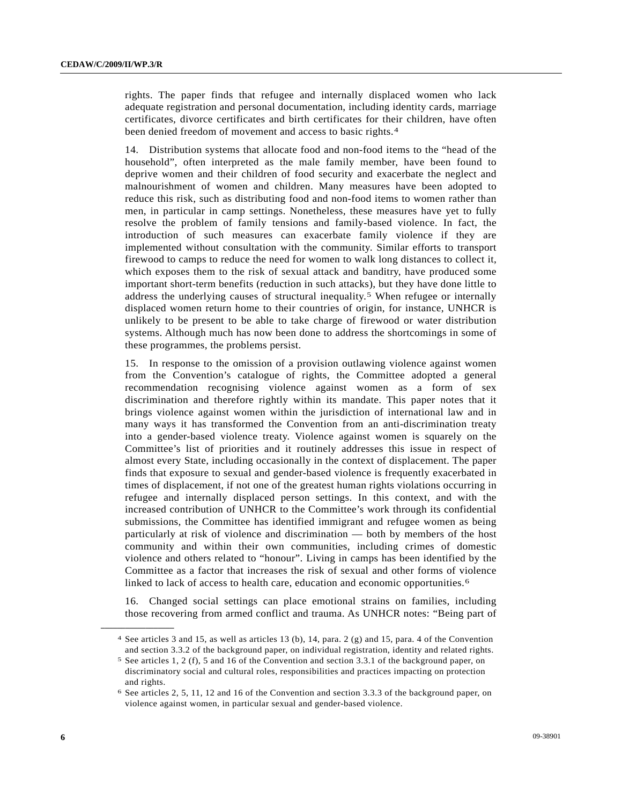rights. The paper finds that refugee and internally displaced women who lack adequate registration and personal documentation, including identity cards, marriage certificates, divorce certificates and birth certificates for their children, have often been denied freedom of movement and access to basic rights.<sup>4</sup>

14. Distribution systems that allocate food and non-food items to the "head of the household", often interpreted as the male family member, have been found to deprive women and their children of food security and exacerbate the neglect and malnourishment of women and children. Many measures have been adopted to reduce this risk, such as distributing food and non-food items to women rather than men, in particular in camp settings. Nonetheless, these measures have yet to fully resolve the problem of family tensions and family-based violence. In fact, the introduction of such measures can exacerbate family violence if they are implemented without consultation with the community. Similar efforts to transport firewood to camps to reduce the need for women to walk long distances to collect it, which exposes them to the risk of sexual attack and banditry, have produced some important short-term benefits (reduction in such attacks), but they have done little to address the underlying causes of structural inequality.<sup>5</sup> When refugee or internally displaced women return home to their countries of origin, for instance, UNHCR is unlikely to be present to be able to take charge of firewood or water distribution systems. Although much has now been done to address the shortcomings in some of these programmes, the problems persist.

15. In response to the omission of a provision outlawing violence against women from the Convention's catalogue of rights, the Committee adopted a general recommendation recognising violence against women as a form of sex discrimination and therefore rightly within its mandate. This paper notes that it brings violence against women within the jurisdiction of international law and in many ways it has transformed the Convention from an anti-discrimination treaty into a gender-based violence treaty. Violence against women is squarely on the Committee's list of priorities and it routinely addresses this issue in respect of almost every State, including occasionally in the context of displacement. The paper finds that exposure to sexual and gender-based violence is frequently exacerbated in times of displacement, if not one of the greatest human rights violations occurring in refugee and internally displaced person settings. In this context, and with the increased contribution of UNHCR to the Committee's work through its confidential submissions, the Committee has identified immigrant and refugee women as being particularly at risk of violence and discrimination — both by members of the host community and within their own communities, including crimes of domestic violence and others related to "honour". Living in camps has been identified by the Committee as a factor that increases the risk of sexual and other forms of violence linked to lack of access to health care, education and economic opportunities.<sup>6</sup>

16. Changed social settings can place emotional strains on families, including those recovering from armed conflict and trauma. As UNHCR notes: "Being part of

<sup>4</sup> See articles 3 and 15, as well as articles 13 (b), 14, para. 2 (g) and 15, para. 4 of the Convention and section 3.3.2 of the background paper, on individual registration, identity and related rights. 5 See articles 1, 2 (f), 5 and 16 of the Convention and section 3.3.1 of the background paper, on

discriminatory social and cultural roles, responsibilities and practices impacting on protection and rights.

<sup>6</sup> See articles 2, 5, 11, 12 and 16 of the Convention and section 3.3.3 of the background paper, on violence against women, in particular sexual and gender-based violence.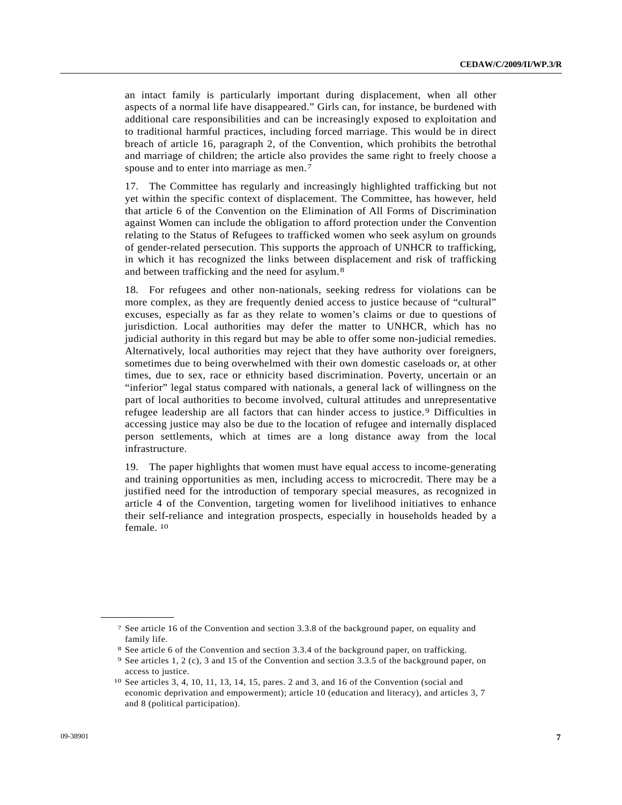an intact family is particularly important during displacement, when all other aspects of a normal life have disappeared." Girls can, for instance, be burdened with additional care responsibilities and can be increasingly exposed to exploitation and to traditional harmful practices, including forced marriage. This would be in direct breach of article 16, paragraph 2, of the Convention, which prohibits the betrothal and marriage of children; the article also provides the same right to freely choose a spouse and to enter into marriage as men.<sup>7</sup>

17. The Committee has regularly and increasingly highlighted trafficking but not yet within the specific context of displacement. The Committee, has however, held that article 6 of the Convention on the Elimination of All Forms of Discrimination against Women can include the obligation to afford protection under the Convention relating to the Status of Refugees to trafficked women who seek asylum on grounds of gender-related persecution. This supports the approach of UNHCR to trafficking, in which it has recognized the links between displacement and risk of trafficking and between trafficking and the need for asylum.<sup>8</sup>

18. For refugees and other non-nationals, seeking redress for violations can be more complex, as they are frequently denied access to justice because of "cultural" excuses, especially as far as they relate to women's claims or due to questions of jurisdiction. Local authorities may defer the matter to UNHCR, which has no judicial authority in this regard but may be able to offer some non-judicial remedies. Alternatively, local authorities may reject that they have authority over foreigners, sometimes due to being overwhelmed with their own domestic caseloads or, at other times, due to sex, race or ethnicity based discrimination. Poverty, uncertain or an "inferior" legal status compared with nationals, a general lack of willingness on the part of local authorities to become involved, cultural attitudes and unrepresentative refugee leadership are all factors that can hinder access to justice.<sup>9</sup> Difficulties in accessing justice may also be due to the location of refugee and internally displaced person settlements, which at times are a long distance away from the local infrastructure.

19. The paper highlights that women must have equal access to income-generating and training opportunities as men, including access to microcredit. There may be a justified need for the introduction of temporary special measures, as recognized in article 4 of the Convention, targeting women for livelihood initiatives to enhance their self-reliance and integration prospects, especially in households headed by a female.<sup>10</sup>

<sup>7</sup> See article 16 of the Convention and section 3.3.8 of the background paper, on equality and family life.

<sup>8</sup> See article 6 of the Convention and section 3.3.4 of the background paper, on trafficking. 9 See articles 1, 2 (c), 3 and 15 of the Convention and section 3.3.5 of the background paper, on access to justice.<br><sup>10</sup> See articles 3, 4, 10, 11, 13, 14, 15, pares. 2 and 3, and 16 of the Convention (social and

economic deprivation and empowerment); article 10 (education and literacy), and articles 3, 7 and 8 (political participation).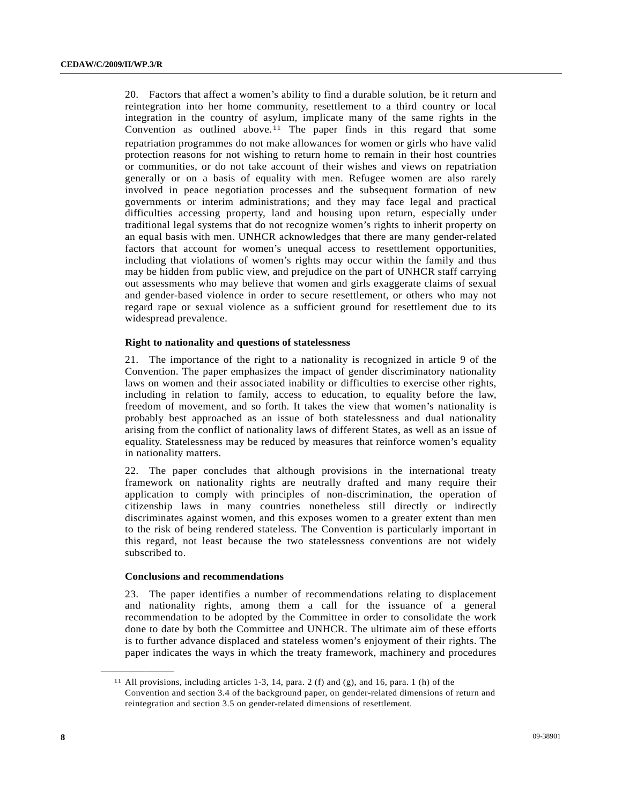20. Factors that affect a women's ability to find a durable solution, be it return and reintegration into her home community, resettlement to a third country or local integration in the country of asylum, implicate many of the same rights in the Convention as outlined above.<sup>11</sup> The paper finds in this regard that some repatriation programmes do not make allowances for women or girls who have valid protection reasons for not wishing to return home to remain in their host countries or communities, or do not take account of their wishes and views on repatriation generally or on a basis of equality with men. Refugee women are also rarely involved in peace negotiation processes and the subsequent formation of new governments or interim administrations; and they may face legal and practical difficulties accessing property, land and housing upon return, especially under traditional legal systems that do not recognize women's rights to inherit property on an equal basis with men. UNHCR acknowledges that there are many gender-related factors that account for women's unequal access to resettlement opportunities, including that violations of women's rights may occur within the family and thus may be hidden from public view, and prejudice on the part of UNHCR staff carrying out assessments who may believe that women and girls exaggerate claims of sexual and gender-based violence in order to secure resettlement, or others who may not regard rape or sexual violence as a sufficient ground for resettlement due to its widespread prevalence.

#### **Right to nationality and questions of statelessness**

21. The importance of the right to a nationality is recognized in article 9 of the Convention. The paper emphasizes the impact of gender discriminatory nationality laws on women and their associated inability or difficulties to exercise other rights, including in relation to family, access to education, to equality before the law, freedom of movement, and so forth. It takes the view that women's nationality is probably best approached as an issue of both statelessness and dual nationality arising from the conflict of nationality laws of different States, as well as an issue of equality. Statelessness may be reduced by measures that reinforce women's equality in nationality matters.

22. The paper concludes that although provisions in the international treaty framework on nationality rights are neutrally drafted and many require their application to comply with principles of non-discrimination, the operation of citizenship laws in many countries nonetheless still directly or indirectly discriminates against women, and this exposes women to a greater extent than men to the risk of being rendered stateless. The Convention is particularly important in this regard, not least because the two statelessness conventions are not widely subscribed to.

#### **Conclusions and recommendations**

**\_\_\_\_\_\_\_\_\_\_\_\_\_\_\_\_\_\_** 

23. The paper identifies a number of recommendations relating to displacement and nationality rights, among them a call for the issuance of a general recommendation to be adopted by the Committee in order to consolidate the work done to date by both the Committee and UNHCR. The ultimate aim of these efforts is to further advance displaced and stateless women's enjoyment of their rights. The paper indicates the ways in which the treaty framework, machinery and procedures

<sup>&</sup>lt;sup>11</sup> All provisions, including articles 1-3, 14, para. 2 (f) and (g), and 16, para. 1 (h) of the Convention and section 3.4 of the background paper, on gender-related dimensions of return and reintegration and section 3.5 on gender-related dimensions of resettlement.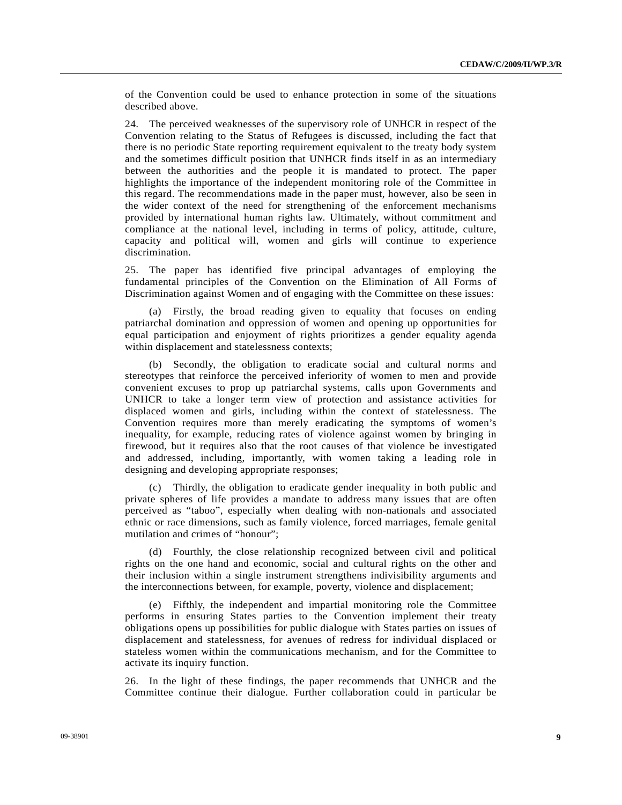of the Convention could be used to enhance protection in some of the situations described above.

24. The perceived weaknesses of the supervisory role of UNHCR in respect of the Convention relating to the Status of Refugees is discussed, including the fact that there is no periodic State reporting requirement equivalent to the treaty body system and the sometimes difficult position that UNHCR finds itself in as an intermediary between the authorities and the people it is mandated to protect. The paper highlights the importance of the independent monitoring role of the Committee in this regard. The recommendations made in the paper must, however, also be seen in the wider context of the need for strengthening of the enforcement mechanisms provided by international human rights law. Ultimately, without commitment and compliance at the national level, including in terms of policy, attitude, culture, capacity and political will, women and girls will continue to experience discrimination.

25. The paper has identified five principal advantages of employing the fundamental principles of the Convention on the Elimination of All Forms of Discrimination against Women and of engaging with the Committee on these issues:

 (a) Firstly, the broad reading given to equality that focuses on ending patriarchal domination and oppression of women and opening up opportunities for equal participation and enjoyment of rights prioritizes a gender equality agenda within displacement and statelessness contexts;

 (b) Secondly, the obligation to eradicate social and cultural norms and stereotypes that reinforce the perceived inferiority of women to men and provide convenient excuses to prop up patriarchal systems, calls upon Governments and UNHCR to take a longer term view of protection and assistance activities for displaced women and girls, including within the context of statelessness. The Convention requires more than merely eradicating the symptoms of women's inequality, for example, reducing rates of violence against women by bringing in firewood, but it requires also that the root causes of that violence be investigated and addressed, including, importantly, with women taking a leading role in designing and developing appropriate responses;

 (c) Thirdly, the obligation to eradicate gender inequality in both public and private spheres of life provides a mandate to address many issues that are often perceived as "taboo", especially when dealing with non-nationals and associated ethnic or race dimensions, such as family violence, forced marriages, female genital mutilation and crimes of "honour";

 (d) Fourthly, the close relationship recognized between civil and political rights on the one hand and economic, social and cultural rights on the other and their inclusion within a single instrument strengthens indivisibility arguments and the interconnections between, for example, poverty, violence and displacement;

 (e) Fifthly, the independent and impartial monitoring role the Committee performs in ensuring States parties to the Convention implement their treaty obligations opens up possibilities for public dialogue with States parties on issues of displacement and statelessness, for avenues of redress for individual displaced or stateless women within the communications mechanism, and for the Committee to activate its inquiry function.

26. In the light of these findings, the paper recommends that UNHCR and the Committee continue their dialogue. Further collaboration could in particular be